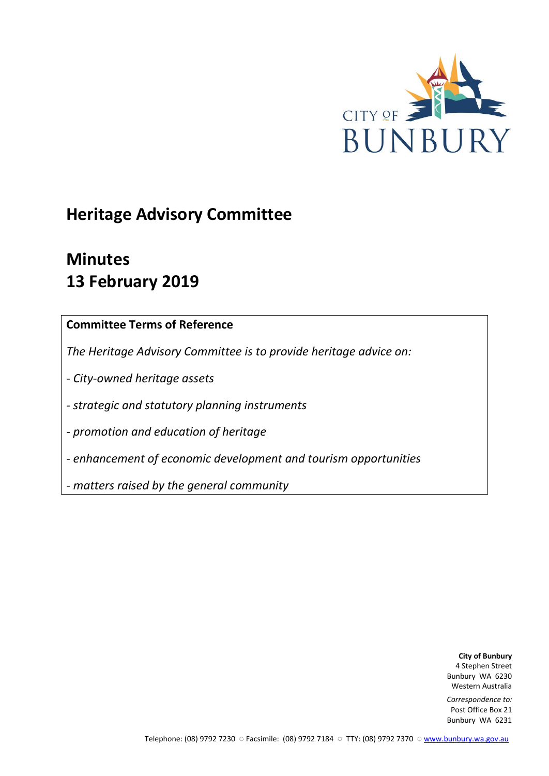

# **Heritage Advisory Committee**

# **Minutes 13 February 2019**

# **Committee Terms of Reference**

*The Heritage Advisory Committee is to provide heritage advice on:*

*- City-owned heritage assets*

*- strategic and statutory planning instruments*

*- promotion and education of heritage*

*- enhancement of economic development and tourism opportunities*

*- matters raised by the general community*

**City of Bunbury** 4 Stephen Street Bunbury WA 6230 Western Australia

*Correspondence to:* Post Office Box 21 Bunbury WA 6231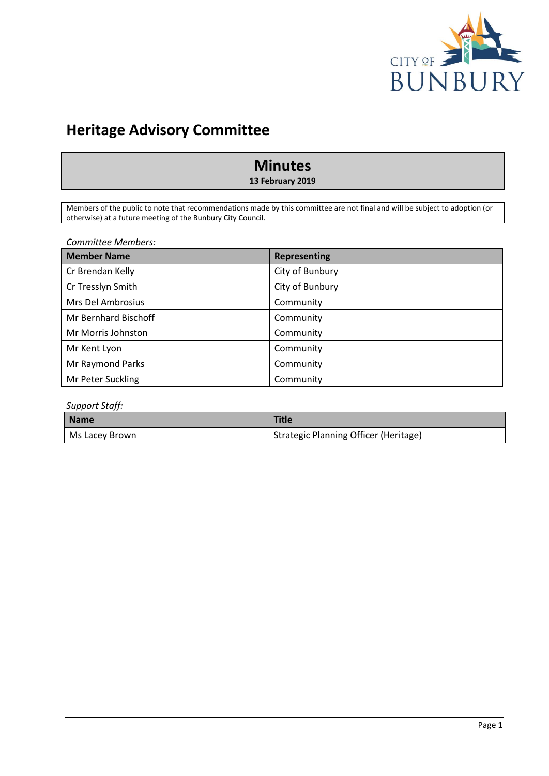

# **Heritage Advisory Committee**

# **Minutes**

**13 February 2019**

Members of the public to note that recommendations made by this committee are not final and will be subject to adoption (or otherwise) at a future meeting of the Bunbury City Council.

*Committee Members:*

| <b>Member Name</b>   | <b>Representing</b> |
|----------------------|---------------------|
| Cr Brendan Kelly     | City of Bunbury     |
| Cr Tresslyn Smith    | City of Bunbury     |
| Mrs Del Ambrosius    | Community           |
| Mr Bernhard Bischoff | Community           |
| Mr Morris Johnston   | Community           |
| Mr Kent Lyon         | Community           |
| Mr Raymond Parks     | Community           |
| Mr Peter Suckling    | Community           |

#### *Support Staff:*

| <b>Name</b>    | <b>Title</b>                          |
|----------------|---------------------------------------|
| Ms Lacey Brown | Strategic Planning Officer (Heritage) |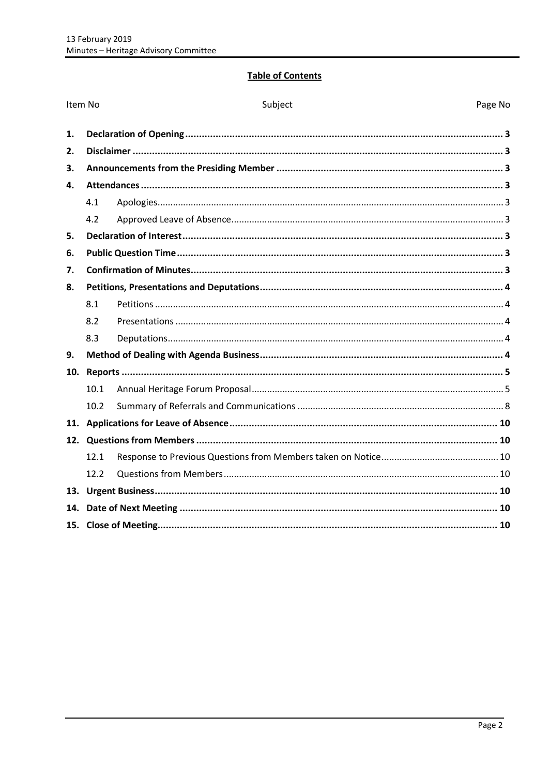### **Table of Contents**

| Item No |      | Subject | Page No |
|---------|------|---------|---------|
| 1.      |      |         |         |
| 2.      |      |         |         |
| 3.      |      |         |         |
| 4.      |      |         |         |
|         | 4.1  |         |         |
|         | 4.2  |         |         |
| 5.      |      |         |         |
| 6.      |      |         |         |
| 7.      |      |         |         |
| 8.      |      |         |         |
|         | 8.1  |         |         |
|         | 8.2  |         |         |
|         | 8.3  |         |         |
| 9.      |      |         |         |
| 10.     |      |         |         |
|         | 10.1 |         |         |
|         | 10.2 |         |         |
| 11.     |      |         |         |
|         |      |         |         |
|         | 12.1 |         |         |
|         | 12.2 |         |         |
|         |      |         |         |
| 14.     |      |         |         |
|         |      |         |         |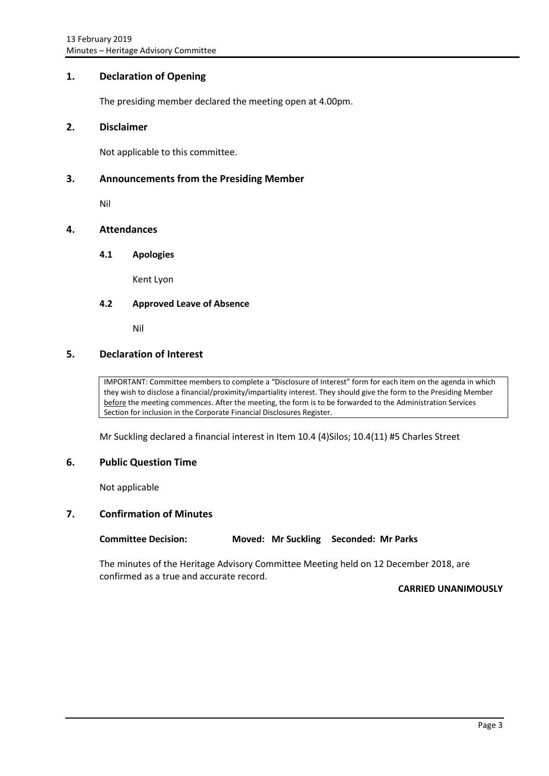### <span id="page-3-0"></span>**1. Declaration of Opening**

The presiding member declared the meeting open at 4.00pm.

#### <span id="page-3-1"></span>**2. Disclaimer**

Not applicable to this committee.

#### <span id="page-3-2"></span>**3. Announcements from the Presiding Member**

Nil

### <span id="page-3-4"></span><span id="page-3-3"></span>**4. Attendances**

#### **4.1 Apologies**

Kent Lyon

#### <span id="page-3-5"></span>**4.2 Approved Leave of Absence**

Nil

#### <span id="page-3-6"></span>**5. Declaration of Interest**

IMPORTANT: Committee members to complete a "Disclosure of Interest" form for each item on the agenda in which they wish to disclose a financial/proximity/impartiality interest. They should give the form to the Presiding Member before the meeting commences. After the meeting, the form is to be forwarded to the Administration Services Section for inclusion in the Corporate Financial Disclosures Register.

Mr Suckling declared a financial interest in Item 10.4 (4)Silos; 10.4(11) #5 Charles Street

#### <span id="page-3-7"></span>**6. Public Question Time**

Not applicable

#### <span id="page-3-8"></span>**7. Confirmation of Minutes**

**Committee Decision: Moved: Mr Suckling Seconded: Mr Parks**

The minutes of the Heritage Advisory Committee Meeting held on 12 December 2018, are confirmed as a true and accurate record.

#### **CARRIED UNANIMOUSLY**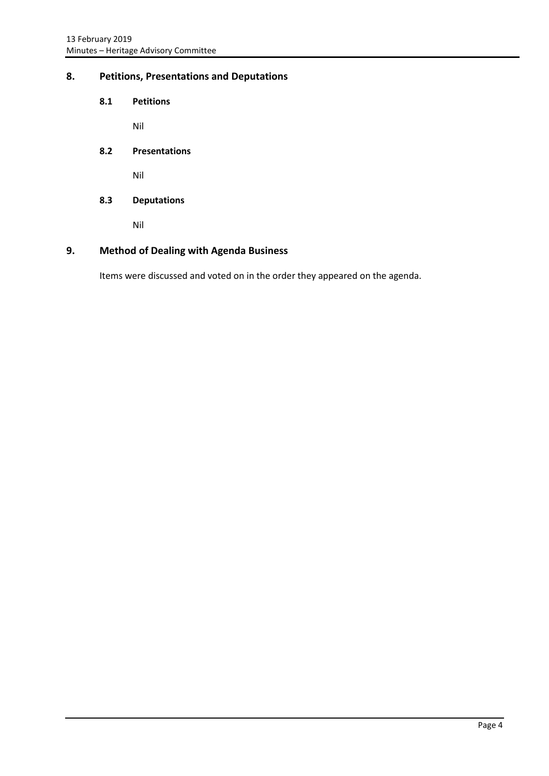# <span id="page-4-1"></span><span id="page-4-0"></span>**8. Petitions, Presentations and Deputations**

**8.1 Petitions**

Nil

<span id="page-4-2"></span>**8.2 Presentations**

Nil

<span id="page-4-3"></span>**8.3 Deputations**

Nil

# <span id="page-4-4"></span>**9. Method of Dealing with Agenda Business**

Items were discussed and voted on in the order they appeared on the agenda.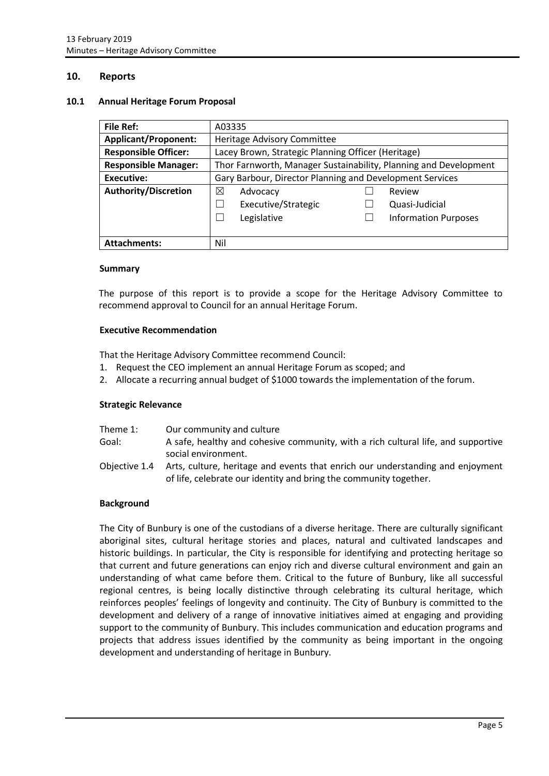#### <span id="page-5-0"></span>**10. Reports**

#### <span id="page-5-1"></span>**10.1 Annual Heritage Forum Proposal**

| File Ref:                   | A03335                                                           |  |                             |
|-----------------------------|------------------------------------------------------------------|--|-----------------------------|
| <b>Applicant/Proponent:</b> | Heritage Advisory Committee                                      |  |                             |
| <b>Responsible Officer:</b> | Lacey Brown, Strategic Planning Officer (Heritage)               |  |                             |
| <b>Responsible Manager:</b> | Thor Farnworth, Manager Sustainability, Planning and Development |  |                             |
| Executive:                  | Gary Barbour, Director Planning and Development Services         |  |                             |
| <b>Authority/Discretion</b> | ⊠<br>Advocacy                                                    |  | Review                      |
|                             | Executive/Strategic                                              |  | Quasi-Judicial              |
|                             | Legislative                                                      |  | <b>Information Purposes</b> |
|                             |                                                                  |  |                             |
| <b>Attachments:</b>         | Nil                                                              |  |                             |

#### **Summary**

The purpose of this report is to provide a scope for the Heritage Advisory Committee to recommend approval to Council for an annual Heritage Forum.

#### **Executive Recommendation**

That the Heritage Advisory Committee recommend Council:

- 1. Request the CEO implement an annual Heritage Forum as scoped; and
- 2. Allocate a recurring annual budget of \$1000 towards the implementation of the forum.

#### **Strategic Relevance**

| Theme 1:      | Our community and culture                                                                                                                           |
|---------------|-----------------------------------------------------------------------------------------------------------------------------------------------------|
| Goal:         | A safe, healthy and cohesive community, with a rich cultural life, and supportive<br>social environment.                                            |
| Objective 1.4 | Arts, culture, heritage and events that enrich our understanding and enjoyment<br>of life, celebrate our identity and bring the community together. |

#### **Background**

The City of Bunbury is one of the custodians of a diverse heritage. There are culturally significant aboriginal sites, cultural heritage stories and places, natural and cultivated landscapes and historic buildings. In particular, the City is responsible for identifying and protecting heritage so that current and future generations can enjoy rich and diverse cultural environment and gain an understanding of what came before them. Critical to the future of Bunbury, like all successful regional centres, is being locally distinctive through celebrating its cultural heritage, which reinforces peoples' feelings of longevity and continuity. The City of Bunbury is committed to the development and delivery of a range of innovative initiatives aimed at engaging and providing support to the community of Bunbury. This includes communication and education programs and projects that address issues identified by the community as being important in the ongoing development and understanding of heritage in Bunbury.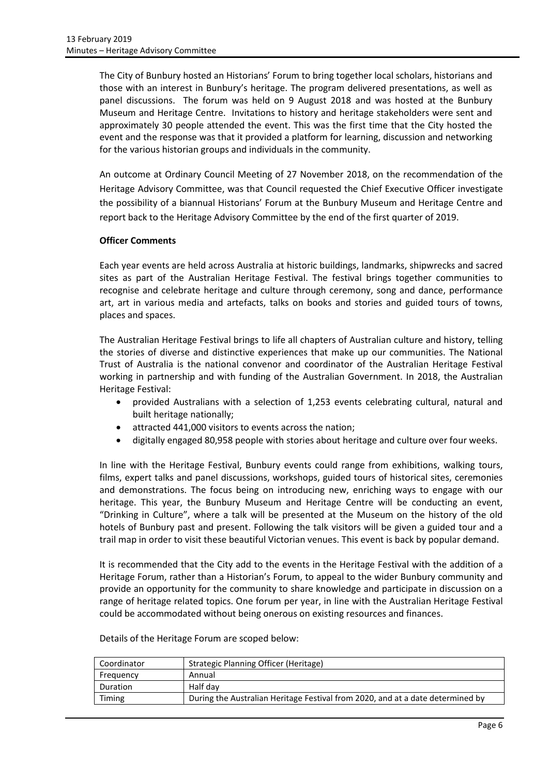The City of Bunbury hosted an Historians' Forum to bring together local scholars, historians and those with an interest in Bunbury's heritage. The program delivered presentations, as well as panel discussions. The forum was held on 9 August 2018 and was hosted at the Bunbury Museum and Heritage Centre. Invitations to history and heritage stakeholders were sent and approximately 30 people attended the event. This was the first time that the City hosted the event and the response was that it provided a platform for learning, discussion and networking for the various historian groups and individuals in the community.

An outcome at Ordinary Council Meeting of 27 November 2018, on the recommendation of the Heritage Advisory Committee, was that Council requested the Chief Executive Officer investigate the possibility of a biannual Historians' Forum at the Bunbury Museum and Heritage Centre and report back to the Heritage Advisory Committee by the end of the first quarter of 2019.

#### **Officer Comments**

Each year events are held across Australia at historic buildings, landmarks, shipwrecks and sacred sites as part of the Australian Heritage Festival. The festival brings together communities to recognise and celebrate heritage and culture through ceremony, song and dance, performance art, art in various media and artefacts, talks on books and stories and guided tours of towns, places and spaces.

The Australian Heritage Festival brings to life all chapters of Australian culture and history, telling the stories of diverse and distinctive experiences that make up our communities. The National Trust of Australia is the national convenor and coordinator of the Australian Heritage Festival working in partnership and with funding of the Australian Government. In 2018, the Australian Heritage Festival:

- provided Australians with a selection of 1,253 events celebrating cultural, natural and built heritage nationally;
- attracted 441,000 visitors to events across the nation;
- digitally engaged 80,958 people with stories about heritage and culture over four weeks.

In line with the Heritage Festival, Bunbury events could range from exhibitions, walking tours, films, expert talks and panel discussions, workshops, guided tours of historical sites, ceremonies and demonstrations. The focus being on introducing new, enriching ways to engage with our heritage. This year, the Bunbury Museum and Heritage Centre will be conducting an event, "Drinking in Culture", where a talk will be presented at the Museum on the history of the old hotels of Bunbury past and present. Following the talk visitors will be given a guided tour and a trail map in order to visit these beautiful Victorian venues. This event is back by popular demand.

It is recommended that the City add to the events in the Heritage Festival with the addition of a Heritage Forum, rather than a Historian's Forum, to appeal to the wider Bunbury community and provide an opportunity for the community to share knowledge and participate in discussion on a range of heritage related topics. One forum per year, in line with the Australian Heritage Festival could be accommodated without being onerous on existing resources and finances.

| Coordinator | <b>Strategic Planning Officer (Heritage)</b>                                   |
|-------------|--------------------------------------------------------------------------------|
| Frequency   | Annual                                                                         |
| Duration    | Half dav                                                                       |
| Timing      | During the Australian Heritage Festival from 2020, and at a date determined by |

Details of the Heritage Forum are scoped below: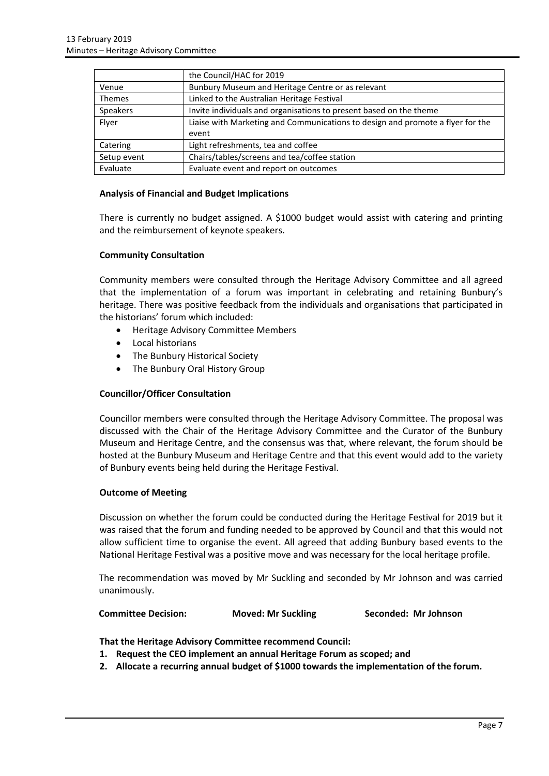|               | the Council/HAC for 2019                                                       |
|---------------|--------------------------------------------------------------------------------|
| Venue         | Bunbury Museum and Heritage Centre or as relevant                              |
| <b>Themes</b> | Linked to the Australian Heritage Festival                                     |
| Speakers      | Invite individuals and organisations to present based on the theme             |
| Flyer         | Liaise with Marketing and Communications to design and promote a flyer for the |
|               | event                                                                          |
| Catering      | Light refreshments, tea and coffee                                             |
| Setup event   | Chairs/tables/screens and tea/coffee station                                   |
| Evaluate      | Evaluate event and report on outcomes                                          |

#### **Analysis of Financial and Budget Implications**

There is currently no budget assigned. A \$1000 budget would assist with catering and printing and the reimbursement of keynote speakers.

#### **Community Consultation**

Community members were consulted through the Heritage Advisory Committee and all agreed that the implementation of a forum was important in celebrating and retaining Bunbury's heritage. There was positive feedback from the individuals and organisations that participated in the historians' forum which included:

- Heritage Advisory Committee Members
- Local historians
- The Bunbury Historical Society
- The Bunbury Oral History Group

#### **Councillor/Officer Consultation**

Councillor members were consulted through the Heritage Advisory Committee. The proposal was discussed with the Chair of the Heritage Advisory Committee and the Curator of the Bunbury Museum and Heritage Centre, and the consensus was that, where relevant, the forum should be hosted at the Bunbury Museum and Heritage Centre and that this event would add to the variety of Bunbury events being held during the Heritage Festival.

#### **Outcome of Meeting**

Discussion on whether the forum could be conducted during the Heritage Festival for 2019 but it was raised that the forum and funding needed to be approved by Council and that this would not allow sufficient time to organise the event. All agreed that adding Bunbury based events to the National Heritage Festival was a positive move and was necessary for the local heritage profile.

The recommendation was moved by Mr Suckling and seconded by Mr Johnson and was carried unanimously.

#### **Committee Decision: Moved: Mr Suckling Seconded: Mr Johnson**

**That the Heritage Advisory Committee recommend Council:**

- **1. Request the CEO implement an annual Heritage Forum as scoped; and**
- **2. Allocate a recurring annual budget of \$1000 towards the implementation of the forum.**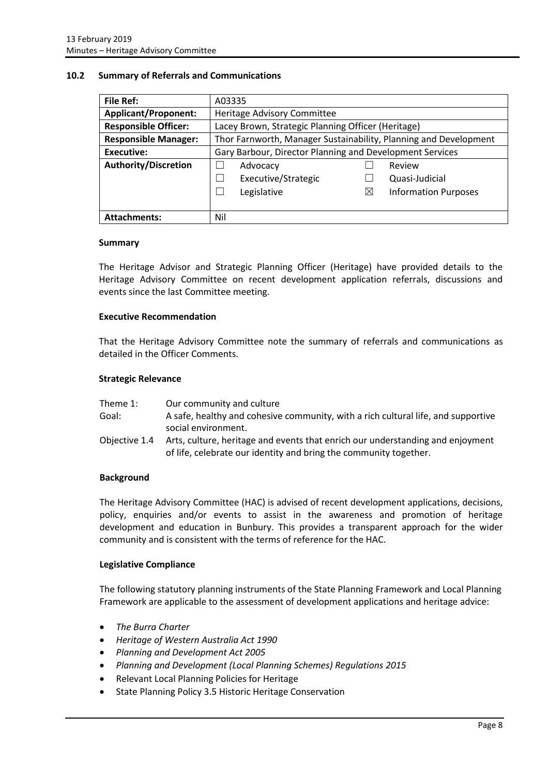#### <span id="page-8-0"></span>**10.2 Summary of Referrals and Communications**

| <b>File Ref:</b>            | A03335                                                           |   |                             |
|-----------------------------|------------------------------------------------------------------|---|-----------------------------|
| <b>Applicant/Proponent:</b> | Heritage Advisory Committee                                      |   |                             |
| <b>Responsible Officer:</b> | Lacey Brown, Strategic Planning Officer (Heritage)               |   |                             |
| <b>Responsible Manager:</b> | Thor Farnworth, Manager Sustainability, Planning and Development |   |                             |
| Executive:                  | Gary Barbour, Director Planning and Development Services         |   |                             |
| <b>Authority/Discretion</b> | Advocacy                                                         |   | Review                      |
|                             | Executive/Strategic                                              |   | Quasi-Judicial              |
|                             | Legislative                                                      | Χ | <b>Information Purposes</b> |
|                             |                                                                  |   |                             |
| <b>Attachments:</b>         | Nil                                                              |   |                             |

#### **Summary**

The Heritage Advisor and Strategic Planning Officer (Heritage) have provided details to the Heritage Advisory Committee on recent development application referrals, discussions and events since the last Committee meeting.

#### **Executive Recommendation**

That the Heritage Advisory Committee note the summary of referrals and communications as detailed in the Officer Comments.

#### **Strategic Relevance**

| Theme 1:      | Our community and culture                                                                                                                           |
|---------------|-----------------------------------------------------------------------------------------------------------------------------------------------------|
| Goal:         | A safe, healthy and cohesive community, with a rich cultural life, and supportive                                                                   |
|               | social environment.                                                                                                                                 |
| Objective 1.4 | Arts, culture, heritage and events that enrich our understanding and enjoyment<br>of life, celebrate our identity and bring the community together. |

#### **Background**

The Heritage Advisory Committee (HAC) is advised of recent development applications, decisions, policy, enquiries and/or events to assist in the awareness and promotion of heritage development and education in Bunbury. This provides a transparent approach for the wider community and is consistent with the terms of reference for the HAC.

#### **Legislative Compliance**

The following statutory planning instruments of the State Planning Framework and Local Planning Framework are applicable to the assessment of development applications and heritage advice:

- *The Burra Charter*
- *Heritage of Western Australia Act 1990*
- *Planning and Development Act 2005*
- *Planning and Development (Local Planning Schemes) Regulations 2015*
- Relevant Local Planning Policies for Heritage
- State Planning Policy 3.5 Historic Heritage Conservation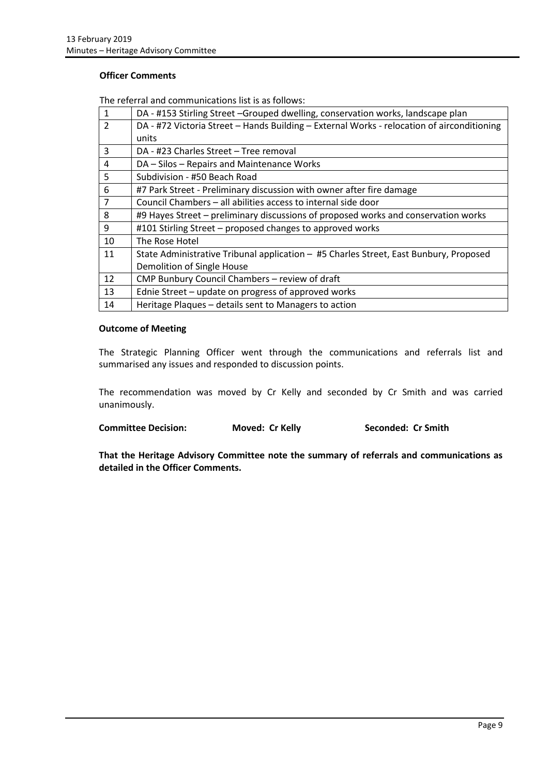#### **Officer Comments**

The referral and communications list is as follows:

| $\mathbf{1}$             | DA - #153 Stirling Street -Grouped dwelling, conservation works, landscape plan            |
|--------------------------|--------------------------------------------------------------------------------------------|
| $\overline{\phantom{a}}$ | DA - #72 Victoria Street - Hands Building - External Works - relocation of airconditioning |
|                          | units                                                                                      |
| 3                        | DA - #23 Charles Street – Tree removal                                                     |
| 4                        | DA - Silos - Repairs and Maintenance Works                                                 |
| 5                        | Subdivision - #50 Beach Road                                                               |
| 6                        | #7 Park Street - Preliminary discussion with owner after fire damage                       |
| $\overline{7}$           | Council Chambers - all abilities access to internal side door                              |
| 8                        | #9 Hayes Street – preliminary discussions of proposed works and conservation works         |
| 9                        | #101 Stirling Street - proposed changes to approved works                                  |
| 10                       | The Rose Hotel                                                                             |
| 11                       | State Administrative Tribunal application - #5 Charles Street, East Bunbury, Proposed      |
|                          | Demolition of Single House                                                                 |
| 12                       | CMP Bunbury Council Chambers - review of draft                                             |
| 13                       | Ednie Street - update on progress of approved works                                        |
| 14                       | Heritage Plaques - details sent to Managers to action                                      |

#### **Outcome of Meeting**

The Strategic Planning Officer went through the communications and referrals list and summarised any issues and responded to discussion points.

The recommendation was moved by Cr Kelly and seconded by Cr Smith and was carried unanimously.

**Committee Decision: Moved: Cr Kelly Seconded: Cr Smith** 

**That the Heritage Advisory Committee note the summary of referrals and communications as detailed in the Officer Comments.**